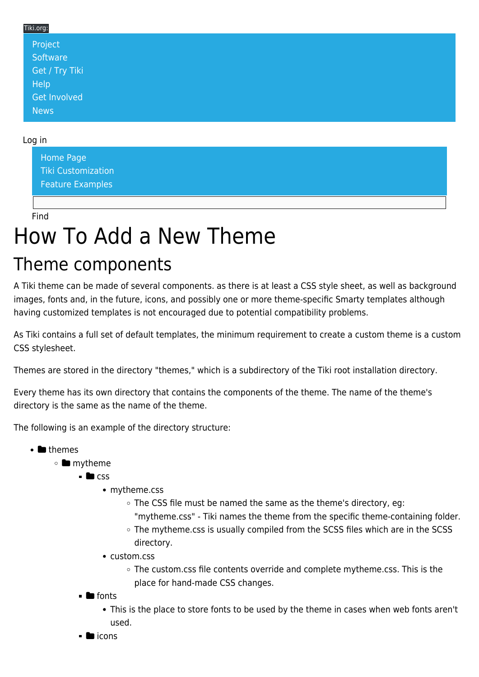### Tiki.org: [Project](https://tiki.org/Project Introduction) **[Software](https://tiki.org/Software Overview and Model)** [Get / Try Tiki](https://tiki.org/Get Tiki - Try Tiki) **[Help](https://tiki.org/Get Help)** [Get Involved](https://tiki.org/Get Involved)

#### Log in

[News](https://tiki.org/News)

[Home Page](https://themes.tiki.org/Themes) [Tiki Customization](https://themes.tiki.org/Tiki-Customization) [Feature Examples](#page--1-0)

Find

# How To Add a New Theme

## Theme components

A Tiki theme can be made of several components. as there is at least a CSS style sheet, as well as background images, fonts and, in the future, icons, and possibly one or more theme-specific Smarty templates although having customized templates is not encouraged due to potential compatibility problems.

As Tiki contains a full set of default templates, the minimum requirement to create a custom theme is a custom CSS stylesheet.

Themes are stored in the directory "themes," which is a subdirectory of the Tiki root installation directory.

Every theme has its own directory that contains the components of the theme. The name of the theme's directory is the same as the name of the theme.

The following is an example of the directory structure:

- $\bullet$  **themes** 
	- ∘ mytheme
		- $\blacksquare$ css
			- mytheme.css
				- The CSS file must be named the same as the theme's directory, eg: "mytheme.css" - Tiki names the theme from the specific theme-containing folder.
				- The mytheme.css is usually compiled from the SCSS files which are in the SCSS directory.
			- custom.css
				- The custom.css file contents override and complete mytheme.css. This is the place for hand-made CSS changes.
		- $\blacksquare$  fonts
			- This is the place to store fonts to be used by the theme in cases when web fonts aren't used.
		- $\blacksquare$  icons